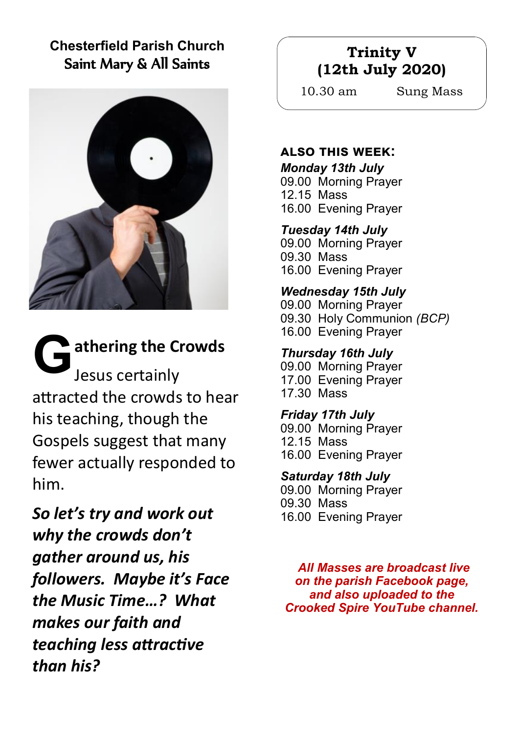# **Chesterfield Parish Church** Saint Mary & All Saints



**G athering the Crowds** Jesus certainly attracted the crowds to hear his teaching, though the Gospels suggest that many fewer actually responded to him.

*So let's try and work out why the crowds don't gather around us, his followers. Maybe it's Face the Music Time…? What makes our faith and teaching less attractive than his?*

# **Trinity V (12th July 2020)**

10.30 am Sung Mass

#### **also this week:**

*Monday 13th July* 09.00 Morning Prayer 12.15 Mass 16.00 Evening Prayer

#### *Tuesday 14th July*

09.00 Morning Prayer 09.30 Mass 16.00 Evening Prayer

## *Wednesday 15th July*

09.00 Morning Prayer 09.30 Holy Communion *(BCP)* 16.00 Evening Prayer

## *Thursday 16th July*

09.00 Morning Prayer 17.00 Evening Prayer 17.30 Mass

## *Friday 17th July*

09.00 Morning Prayer 12.15 Mass 16.00 Evening Prayer

#### *Saturday 18th July*

09.00 Morning Prayer 09.30 Mass 16.00 Evening Prayer

*All Masses are broadcast live on the parish Facebook page, and also uploaded to the Crooked Spire YouTube channel.*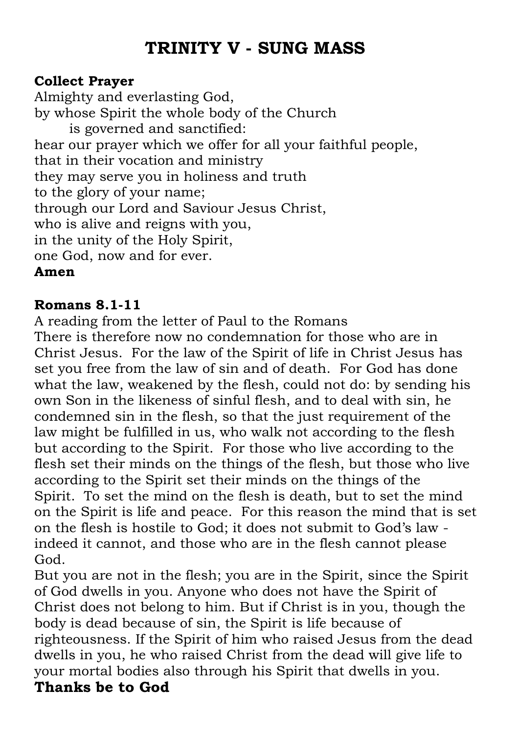# **TRINITY V - SUNG MASS**

## **Collect Prayer**

Almighty and everlasting God, by whose Spirit the whole body of the Church is governed and sanctified: hear our prayer which we offer for all your faithful people, that in their vocation and ministry they may serve you in holiness and truth to the glory of your name; through our Lord and Saviour Jesus Christ, who is alive and reigns with you, in the unity of the Holy Spirit, one God, now and for ever. **Amen**

## **Romans 8.1-11**

A reading from the letter of Paul to the Romans There is therefore now no condemnation for those who are in Christ Jesus. For the law of the Spirit of life in Christ Jesus has set you free from the law of sin and of death. For God has done what the law, weakened by the flesh, could not do: by sending his own Son in the likeness of sinful flesh, and to deal with sin, he condemned sin in the flesh, so that the just requirement of the law might be fulfilled in us, who walk not according to the flesh but according to the Spirit. For those who live according to the flesh set their minds on the things of the flesh, but those who live according to the Spirit set their minds on the things of the Spirit. To set the mind on the flesh is death, but to set the mind on the Spirit is life and peace. For this reason the mind that is set on the flesh is hostile to God; it does not submit to God's law indeed it cannot, and those who are in the flesh cannot please God.

But you are not in the flesh; you are in the Spirit, since the Spirit of God dwells in you. Anyone who does not have the Spirit of Christ does not belong to him. But if Christ is in you, though the body is dead because of sin, the Spirit is life because of righteousness. If the Spirit of him who raised Jesus from the dead dwells in you, he who raised Christ from the dead will give life to your mortal bodies also through his Spirit that dwells in you.

## **Thanks be to God**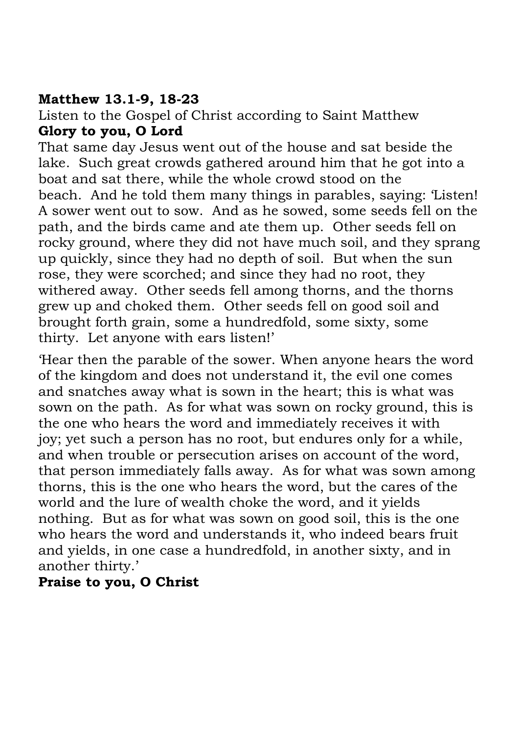## **Matthew 13.1-9, 18-23**

Listen to the Gospel of Christ according to Saint Matthew **Glory to you, O Lord**

That same day Jesus went out of the house and sat beside the lake. Such great crowds gathered around him that he got into a boat and sat there, while the whole crowd stood on the beach. And he told them many things in parables, saying: 'Listen! A sower went out to sow. And as he sowed, some seeds fell on the path, and the birds came and ate them up. Other seeds fell on rocky ground, where they did not have much soil, and they sprang up quickly, since they had no depth of soil. But when the sun rose, they were scorched; and since they had no root, they withered away. Other seeds fell among thorns, and the thorns grew up and choked them. Other seeds fell on good soil and brought forth grain, some a hundredfold, some sixty, some thirty. Let anyone with ears listen!'

'Hear then the parable of the sower. When anyone hears the word of the kingdom and does not understand it, the evil one comes and snatches away what is sown in the heart; this is what was sown on the path. As for what was sown on rocky ground, this is the one who hears the word and immediately receives it with joy; yet such a person has no root, but endures only for a while, and when trouble or persecution arises on account of the word, that person immediately falls away. As for what was sown among thorns, this is the one who hears the word, but the cares of the world and the lure of wealth choke the word, and it yields nothing. But as for what was sown on good soil, this is the one who hears the word and understands it, who indeed bears fruit and yields, in one case a hundredfold, in another sixty, and in another thirty.'

## **Praise to you, O Christ**